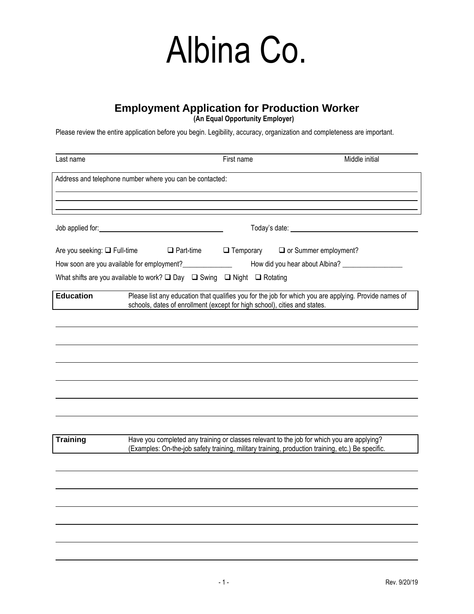### **Employment Application for Production Worker**

**(An Equal Opportunity Employer)**

Please review the entire application before you begin. Legibility, accuracy, organization and completeness are important.

| Last name                                                                                                                                                                                                                            |                                                                                                         |  | First name       | Middle initial                                                                                                                                                                                  |  |
|--------------------------------------------------------------------------------------------------------------------------------------------------------------------------------------------------------------------------------------|---------------------------------------------------------------------------------------------------------|--|------------------|-------------------------------------------------------------------------------------------------------------------------------------------------------------------------------------------------|--|
|                                                                                                                                                                                                                                      | Address and telephone number where you can be contacted:                                                |  |                  |                                                                                                                                                                                                 |  |
|                                                                                                                                                                                                                                      |                                                                                                         |  |                  |                                                                                                                                                                                                 |  |
| Job applied for: <u>contract the contract of the contract of the contract of the contract of the contract of the contract of the contract of the contract of the contract of the contract of the contract of the contract of the</u> |                                                                                                         |  |                  |                                                                                                                                                                                                 |  |
|                                                                                                                                                                                                                                      | Are you seeking: □ Full-time<br>$\Box$ Part-time                                                        |  | $\Box$ Temporary | O or Summer employment?                                                                                                                                                                         |  |
|                                                                                                                                                                                                                                      | How soon are you available for employment?_______________                                               |  |                  |                                                                                                                                                                                                 |  |
|                                                                                                                                                                                                                                      | What shifts are you available to work? $\square$ Day $\square$ Swing $\square$ Night $\square$ Rotating |  |                  |                                                                                                                                                                                                 |  |
| <b>Education</b>                                                                                                                                                                                                                     |                                                                                                         |  |                  | Please list any education that qualifies you for the job for which you are applying. Provide names of<br>schools, dates of enrollment (except for high school), cities and states.              |  |
|                                                                                                                                                                                                                                      |                                                                                                         |  |                  |                                                                                                                                                                                                 |  |
|                                                                                                                                                                                                                                      |                                                                                                         |  |                  |                                                                                                                                                                                                 |  |
|                                                                                                                                                                                                                                      |                                                                                                         |  |                  |                                                                                                                                                                                                 |  |
|                                                                                                                                                                                                                                      |                                                                                                         |  |                  |                                                                                                                                                                                                 |  |
|                                                                                                                                                                                                                                      |                                                                                                         |  |                  |                                                                                                                                                                                                 |  |
|                                                                                                                                                                                                                                      |                                                                                                         |  |                  |                                                                                                                                                                                                 |  |
|                                                                                                                                                                                                                                      |                                                                                                         |  |                  |                                                                                                                                                                                                 |  |
|                                                                                                                                                                                                                                      |                                                                                                         |  |                  |                                                                                                                                                                                                 |  |
| <b>Training</b>                                                                                                                                                                                                                      |                                                                                                         |  |                  | Have you completed any training or classes relevant to the job for which you are applying?<br>(Examples: On-the-job safety training, military training, production training, etc.) Be specific. |  |
|                                                                                                                                                                                                                                      |                                                                                                         |  |                  |                                                                                                                                                                                                 |  |
|                                                                                                                                                                                                                                      |                                                                                                         |  |                  |                                                                                                                                                                                                 |  |
|                                                                                                                                                                                                                                      |                                                                                                         |  |                  |                                                                                                                                                                                                 |  |
|                                                                                                                                                                                                                                      |                                                                                                         |  |                  |                                                                                                                                                                                                 |  |
|                                                                                                                                                                                                                                      |                                                                                                         |  |                  |                                                                                                                                                                                                 |  |
|                                                                                                                                                                                                                                      |                                                                                                         |  |                  |                                                                                                                                                                                                 |  |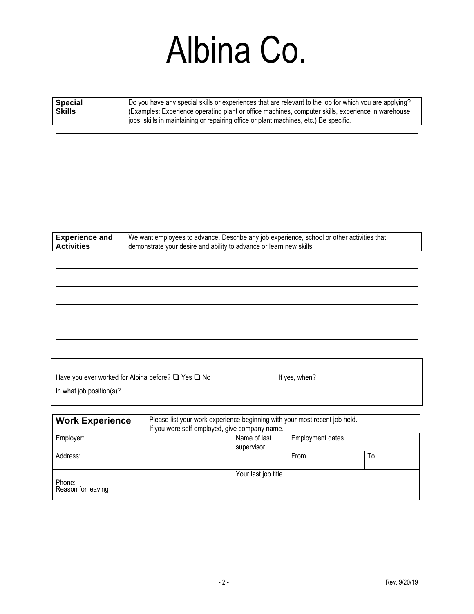| <b>Special</b><br><b>Skills</b>            | Do you have any special skills or experiences that are relevant to the job for which you are applying?<br>(Examples: Experience operating plant or office machines, computer skills, experience in warehouse<br>jobs, skills in maintaining or repairing office or plant machines, etc.) Be specific. |                            |                         |    |
|--------------------------------------------|-------------------------------------------------------------------------------------------------------------------------------------------------------------------------------------------------------------------------------------------------------------------------------------------------------|----------------------------|-------------------------|----|
| <b>Experience and</b><br><b>Activities</b> | We want employees to advance. Describe any job experience, school or other activities that<br>demonstrate your desire and ability to advance or learn new skills.                                                                                                                                     |                            |                         |    |
|                                            |                                                                                                                                                                                                                                                                                                       |                            |                         |    |
|                                            | Have you ever worked for Albina before? □ Yes □ No                                                                                                                                                                                                                                                    |                            | If yes, when?           |    |
|                                            | In what job position(s)?                                                                                                                                                                                                                                                                              |                            |                         |    |
| <b>Work Experience</b>                     | Please list your work experience beginning with your most recent job held.<br>If you were self-employed, give company name.                                                                                                                                                                           |                            |                         |    |
| Employer:                                  |                                                                                                                                                                                                                                                                                                       | Name of last<br>supervisor | <b>Employment dates</b> |    |
| Address:                                   |                                                                                                                                                                                                                                                                                                       |                            | From                    | To |
| Phone:                                     |                                                                                                                                                                                                                                                                                                       | Your last job title        |                         |    |
| Reason for leaving                         |                                                                                                                                                                                                                                                                                                       |                            |                         |    |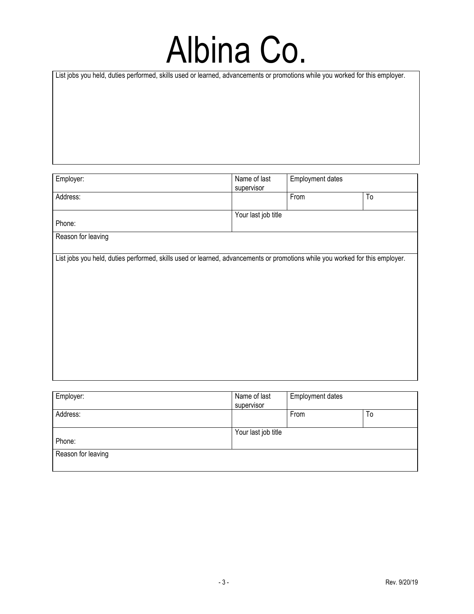List jobs you held, duties performed, skills used or learned, advancements or promotions while you worked for this employer.

| Employer:                                                                                                                    | Name of last<br>supervisor | <b>Employment dates</b> |               |
|------------------------------------------------------------------------------------------------------------------------------|----------------------------|-------------------------|---------------|
| Address:                                                                                                                     |                            | From                    | $\mathsf{To}$ |
| Phone:                                                                                                                       | Your last job title        |                         |               |
| Reason for leaving                                                                                                           |                            |                         |               |
| List jobs you held, duties performed, skills used or learned, advancements or promotions while you worked for this employer. |                            |                         |               |
|                                                                                                                              |                            |                         |               |
|                                                                                                                              |                            |                         |               |
|                                                                                                                              |                            |                         |               |
|                                                                                                                              |                            |                         |               |
|                                                                                                                              |                            |                         |               |
|                                                                                                                              |                            |                         |               |
|                                                                                                                              |                            |                         |               |

| Employer:          | Name of last        | <b>Employment dates</b> |    |
|--------------------|---------------------|-------------------------|----|
|                    | supervisor          |                         |    |
| Address:           |                     | From                    | To |
|                    |                     |                         |    |
|                    | Your last job title |                         |    |
| Phone:             |                     |                         |    |
| Reason for leaving |                     |                         |    |
|                    |                     |                         |    |
|                    |                     |                         |    |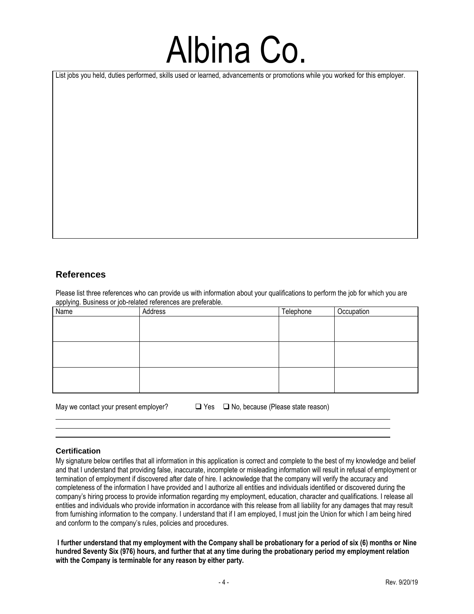List jobs you held, duties performed, skills used or learned, advancements or promotions while you worked for this employer.

### **References**

Please list three references who can provide us with information about your qualifications to perform the job for which you are applying. Business or job-related references are preferable.

| Name | Address | Telephone | Occupation |
|------|---------|-----------|------------|
|      |         |           |            |
|      |         |           |            |
|      |         |           |            |
|      |         |           |            |
|      |         |           |            |
|      |         |           |            |
|      |         |           |            |
|      |         |           |            |
|      |         |           |            |

May we contact your present employer? ❑ Yes ❑ No, because (Please state reason)

#### **Certification**

My signature below certifies that all information in this application is correct and complete to the best of my knowledge and belief and that I understand that providing false, inaccurate, incomplete or misleading information will result in refusal of employment or termination of employment if discovered after date of hire. I acknowledge that the company will verify the accuracy and completeness of the information I have provided and I authorize all entities and individuals identified or discovered during the company's hiring process to provide information regarding my employment, education, character and qualifications. I release all entities and individuals who provide information in accordance with this release from all liability for any damages that may result from furnishing information to the company. I understand that if I am employed, I must join the Union for which I am being hired and conform to the company's rules, policies and procedures.

**I further understand that my employment with the Company shall be probationary for a period of six (6) months or Nine hundred Seventy Six (976) hours, and further that at any time during the probationary period my employment relation with the Company is terminable for any reason by either party.**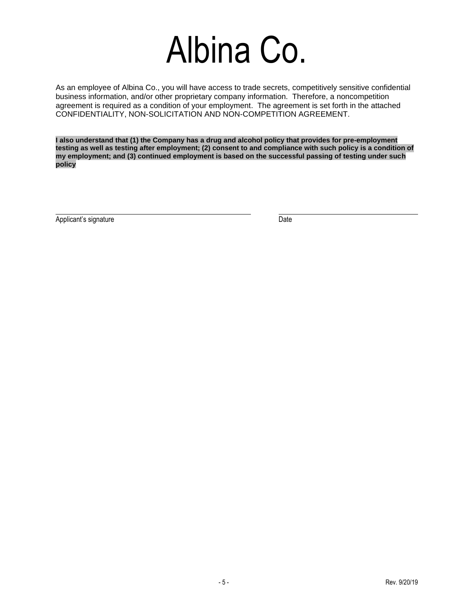As an employee of Albina Co., you will have access to trade secrets, competitively sensitive confidential business information, and/or other proprietary company information. Therefore, a noncompetition agreement is required as a condition of your employment. The agreement is set forth in the attached CONFIDENTIALITY, NON-SOLICITATION AND NON-COMPETITION AGREEMENT.

**I also understand that (1) the Company has a drug and alcohol policy that provides for pre-employment**  testing as well as testing after employment; (2) consent to and compliance with such policy is a condition of **my employment; and (3) continued employment is based on the successful passing of testing under such policy**

Applicant's signature Date Date Controller and Date Date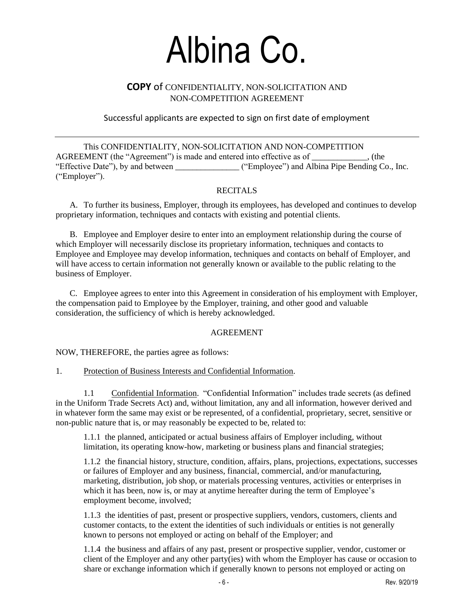### **COPY** of CONFIDENTIALITY, NON-SOLICITATION AND NON-COMPETITION AGREEMENT

Successful applicants are expected to sign on first date of employment

This CONFIDENTIALITY, NON-SOLICITATION AND NON-COMPETITION AGREEMENT (the "Agreement") is made and entered into effective as of \_\_\_\_\_\_\_\_\_\_\_\_\_, (the "Effective Date"), by and between \_\_\_\_\_\_\_\_\_\_\_\_\_\_\_ ("Employee") and Albina Pipe Bending Co., Inc. ("Employer").

#### RECITALS

A. To further its business, Employer, through its employees, has developed and continues to develop proprietary information, techniques and contacts with existing and potential clients.

B. Employee and Employer desire to enter into an employment relationship during the course of which Employer will necessarily disclose its proprietary information, techniques and contacts to Employee and Employee may develop information, techniques and contacts on behalf of Employer, and will have access to certain information not generally known or available to the public relating to the business of Employer.

C. Employee agrees to enter into this Agreement in consideration of his employment with Employer, the compensation paid to Employee by the Employer, training, and other good and valuable consideration, the sufficiency of which is hereby acknowledged.

#### AGREEMENT

NOW, THEREFORE, the parties agree as follows:

#### 1. Protection of Business Interests and Confidential Information.

1.1 Confidential Information. "Confidential Information" includes trade secrets (as defined in the Uniform Trade Secrets Act) and, without limitation, any and all information, however derived and in whatever form the same may exist or be represented, of a confidential, proprietary, secret, sensitive or non-public nature that is, or may reasonably be expected to be, related to:

1.1.1 the planned, anticipated or actual business affairs of Employer including, without limitation, its operating know-how, marketing or business plans and financial strategies;

1.1.2 the financial history, structure, condition, affairs, plans, projections, expectations, successes or failures of Employer and any business, financial, commercial, and/or manufacturing, marketing, distribution, job shop, or materials processing ventures, activities or enterprises in which it has been, now is, or may at anytime hereafter during the term of Employee's employment become, involved;

1.1.3 the identities of past, present or prospective suppliers, vendors, customers, clients and customer contacts, to the extent the identities of such individuals or entities is not generally known to persons not employed or acting on behalf of the Employer; and

1.1.4 the business and affairs of any past, present or prospective supplier, vendor, customer or client of the Employer and any other party(ies) with whom the Employer has cause or occasion to share or exchange information which if generally known to persons not employed or acting on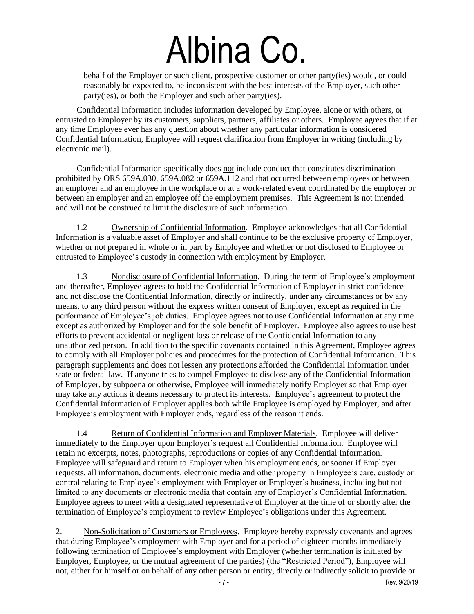behalf of the Employer or such client, prospective customer or other party(ies) would, or could reasonably be expected to, be inconsistent with the best interests of the Employer, such other party(ies), or both the Employer and such other party(ies).

Confidential Information includes information developed by Employee, alone or with others, or entrusted to Employer by its customers, suppliers, partners, affiliates or others. Employee agrees that if at any time Employee ever has any question about whether any particular information is considered Confidential Information, Employee will request clarification from Employer in writing (including by electronic mail).

Confidential Information specifically does not include conduct that constitutes discrimination prohibited by ORS 659A.030, 659A.082 or 659A.112 and that occurred between employees or between an employer and an employee in the workplace or at a work-related event coordinated by the employer or between an employer and an employee off the employment premises. This Agreement is not intended and will not be construed to limit the disclosure of such information.

1.2 Ownership of Confidential Information. Employee acknowledges that all Confidential Information is a valuable asset of Employer and shall continue to be the exclusive property of Employer, whether or not prepared in whole or in part by Employee and whether or not disclosed to Employee or entrusted to Employee's custody in connection with employment by Employer.

1.3 Nondisclosure of Confidential Information. During the term of Employee's employment and thereafter, Employee agrees to hold the Confidential Information of Employer in strict confidence and not disclose the Confidential Information, directly or indirectly, under any circumstances or by any means, to any third person without the express written consent of Employer, except as required in the performance of Employee's job duties. Employee agrees not to use Confidential Information at any time except as authorized by Employer and for the sole benefit of Employer. Employee also agrees to use best efforts to prevent accidental or negligent loss or release of the Confidential Information to any unauthorized person. In addition to the specific covenants contained in this Agreement, Employee agrees to comply with all Employer policies and procedures for the protection of Confidential Information. This paragraph supplements and does not lessen any protections afforded the Confidential Information under state or federal law. If anyone tries to compel Employee to disclose any of the Confidential Information of Employer, by subpoena or otherwise, Employee will immediately notify Employer so that Employer may take any actions it deems necessary to protect its interests. Employee's agreement to protect the Confidential Information of Employer applies both while Employee is employed by Employer, and after Employee's employment with Employer ends, regardless of the reason it ends.

1.4 Return of Confidential Information and Employer Materials. Employee will deliver immediately to the Employer upon Employer's request all Confidential Information. Employee will retain no excerpts, notes, photographs, reproductions or copies of any Confidential Information. Employee will safeguard and return to Employer when his employment ends, or sooner if Employer requests, all information, documents, electronic media and other property in Employee's care, custody or control relating to Employee's employment with Employer or Employer's business, including but not limited to any documents or electronic media that contain any of Employer's Confidential Information. Employee agrees to meet with a designated representative of Employer at the time of or shortly after the termination of Employee's employment to review Employee's obligations under this Agreement.

2. Non-Solicitation of Customers or Employees. Employee hereby expressly covenants and agrees that during Employee's employment with Employer and for a period of eighteen months immediately following termination of Employee's employment with Employer (whether termination is initiated by Employer, Employee, or the mutual agreement of the parties) (the "Restricted Period"), Employee will not, either for himself or on behalf of any other person or entity, directly or indirectly solicit to provide or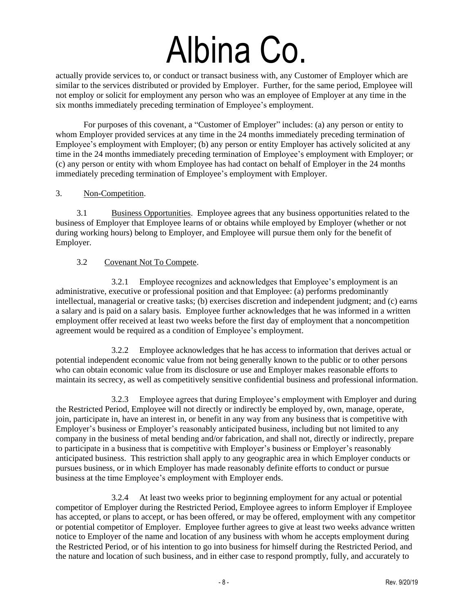actually provide services to, or conduct or transact business with, any Customer of Employer which are similar to the services distributed or provided by Employer. Further, for the same period, Employee will not employ or solicit for employment any person who was an employee of Employer at any time in the six months immediately preceding termination of Employee's employment.

For purposes of this covenant, a "Customer of Employer" includes: (a) any person or entity to whom Employer provided services at any time in the 24 months immediately preceding termination of Employee's employment with Employer; (b) any person or entity Employer has actively solicited at any time in the 24 months immediately preceding termination of Employee's employment with Employer; or (c) any person or entity with whom Employee has had contact on behalf of Employer in the 24 months immediately preceding termination of Employee's employment with Employer.

#### 3. Non-Competition.

3.1 Business Opportunities. Employee agrees that any business opportunities related to the business of Employer that Employee learns of or obtains while employed by Employer (whether or not during working hours) belong to Employer, and Employee will pursue them only for the benefit of Employer.

#### 3.2 Covenant Not To Compete.

3.2.1 Employee recognizes and acknowledges that Employee's employment is an administrative, executive or professional position and that Employee: (a) performs predominantly intellectual, managerial or creative tasks; (b) exercises discretion and independent judgment; and (c) earns a salary and is paid on a salary basis. Employee further acknowledges that he was informed in a written employment offer received at least two weeks before the first day of employment that a noncompetition agreement would be required as a condition of Employee's employment.

3.2.2 Employee acknowledges that he has access to information that derives actual or potential independent economic value from not being generally known to the public or to other persons who can obtain economic value from its disclosure or use and Employer makes reasonable efforts to maintain its secrecy, as well as competitively sensitive confidential business and professional information.

3.2.3 Employee agrees that during Employee's employment with Employer and during the Restricted Period, Employee will not directly or indirectly be employed by, own, manage, operate, join, participate in, have an interest in, or benefit in any way from any business that is competitive with Employer's business or Employer's reasonably anticipated business, including but not limited to any company in the business of metal bending and/or fabrication, and shall not, directly or indirectly, prepare to participate in a business that is competitive with Employer's business or Employer's reasonably anticipated business. This restriction shall apply to any geographic area in which Employer conducts or pursues business, or in which Employer has made reasonably definite efforts to conduct or pursue business at the time Employee's employment with Employer ends.

3.2.4 At least two weeks prior to beginning employment for any actual or potential competitor of Employer during the Restricted Period, Employee agrees to inform Employer if Employee has accepted, or plans to accept, or has been offered, or may be offered, employment with any competitor or potential competitor of Employer. Employee further agrees to give at least two weeks advance written notice to Employer of the name and location of any business with whom he accepts employment during the Restricted Period, or of his intention to go into business for himself during the Restricted Period, and the nature and location of such business, and in either case to respond promptly, fully, and accurately to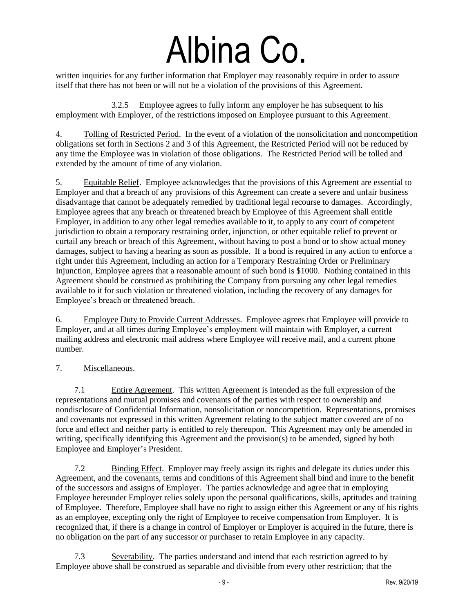written inquiries for any further information that Employer may reasonably require in order to assure itself that there has not been or will not be a violation of the provisions of this Agreement.

3.2.5 Employee agrees to fully inform any employer he has subsequent to his employment with Employer, of the restrictions imposed on Employee pursuant to this Agreement.

4. Tolling of Restricted Period. In the event of a violation of the nonsolicitation and noncompetition obligations set forth in Sections 2 and 3 of this Agreement, the Restricted Period will not be reduced by any time the Employee was in violation of those obligations. The Restricted Period will be tolled and extended by the amount of time of any violation.

5. Equitable Relief. Employee acknowledges that the provisions of this Agreement are essential to Employer and that a breach of any provisions of this Agreement can create a severe and unfair business disadvantage that cannot be adequately remedied by traditional legal recourse to damages. Accordingly, Employee agrees that any breach or threatened breach by Employee of this Agreement shall entitle Employer, in addition to any other legal remedies available to it, to apply to any court of competent jurisdiction to obtain a temporary restraining order, injunction, or other equitable relief to prevent or curtail any breach or breach of this Agreement, without having to post a bond or to show actual money damages, subject to having a hearing as soon as possible. If a bond is required in any action to enforce a right under this Agreement, including an action for a Temporary Restraining Order or Preliminary Injunction, Employee agrees that a reasonable amount of such bond is \$1000. Nothing contained in this Agreement should be construed as prohibiting the Company from pursuing any other legal remedies available to it for such violation or threatened violation, including the recovery of any damages for Employee's breach or threatened breach.

6. Employee Duty to Provide Current Addresses. Employee agrees that Employee will provide to Employer, and at all times during Employee's employment will maintain with Employer, a current mailing address and electronic mail address where Employee will receive mail, and a current phone number.

#### 7. Miscellaneous.

7.1 Entire Agreement. This written Agreement is intended as the full expression of the representations and mutual promises and covenants of the parties with respect to ownership and nondisclosure of Confidential Information, nonsolicitation or noncompetition. Representations, promises and covenants not expressed in this written Agreement relating to the subject matter covered are of no force and effect and neither party is entitled to rely thereupon. This Agreement may only be amended in writing, specifically identifying this Agreement and the provision(s) to be amended, signed by both Employee and Employer's President.

7.2 Binding Effect. Employer may freely assign its rights and delegate its duties under this Agreement, and the covenants, terms and conditions of this Agreement shall bind and inure to the benefit of the successors and assigns of Employer. The parties acknowledge and agree that in employing Employee hereunder Employer relies solely upon the personal qualifications, skills, aptitudes and training of Employee. Therefore, Employee shall have no right to assign either this Agreement or any of his rights as an employee, excepting only the right of Employee to receive compensation from Employer. It is recognized that, if there is a change in control of Employer or Employer is acquired in the future, there is no obligation on the part of any successor or purchaser to retain Employee in any capacity.

7.3 Severability. The parties understand and intend that each restriction agreed to by Employee above shall be construed as separable and divisible from every other restriction; that the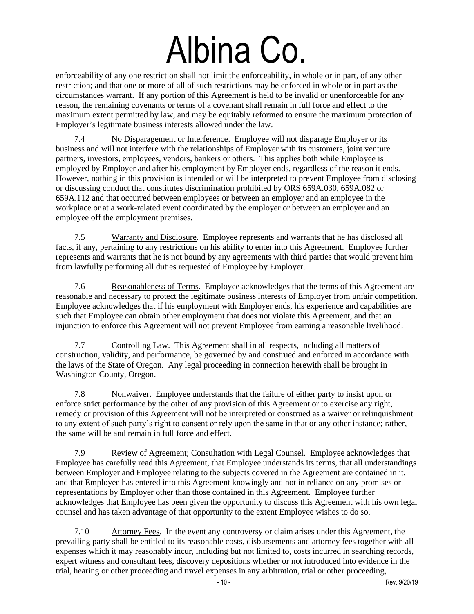enforceability of any one restriction shall not limit the enforceability, in whole or in part, of any other restriction; and that one or more of all of such restrictions may be enforced in whole or in part as the circumstances warrant. If any portion of this Agreement is held to be invalid or unenforceable for any reason, the remaining covenants or terms of a covenant shall remain in full force and effect to the maximum extent permitted by law, and may be equitably reformed to ensure the maximum protection of Employer's legitimate business interests allowed under the law.

7.4 No Disparagement or Interference. Employee will not disparage Employer or its business and will not interfere with the relationships of Employer with its customers, joint venture partners, investors, employees, vendors, bankers or others. This applies both while Employee is employed by Employer and after his employment by Employer ends, regardless of the reason it ends. However, nothing in this provision is intended or will be interpreted to prevent Employee from disclosing or discussing conduct that constitutes discrimination prohibited by ORS 659A.030, 659A.082 or 659A.112 and that occurred between employees or between an employer and an employee in the workplace or at a work-related event coordinated by the employer or between an employer and an employee off the employment premises.

7.5 Warranty and Disclosure. Employee represents and warrants that he has disclosed all facts, if any, pertaining to any restrictions on his ability to enter into this Agreement. Employee further represents and warrants that he is not bound by any agreements with third parties that would prevent him from lawfully performing all duties requested of Employee by Employer.

7.6 Reasonableness of Terms. Employee acknowledges that the terms of this Agreement are reasonable and necessary to protect the legitimate business interests of Employer from unfair competition. Employee acknowledges that if his employment with Employer ends, his experience and capabilities are such that Employee can obtain other employment that does not violate this Agreement, and that an injunction to enforce this Agreement will not prevent Employee from earning a reasonable livelihood.

7.7 Controlling Law. This Agreement shall in all respects, including all matters of construction, validity, and performance, be governed by and construed and enforced in accordance with the laws of the State of Oregon. Any legal proceeding in connection herewith shall be brought in Washington County, Oregon.

7.8 Nonwaiver. Employee understands that the failure of either party to insist upon or enforce strict performance by the other of any provision of this Agreement or to exercise any right, remedy or provision of this Agreement will not be interpreted or construed as a waiver or relinquishment to any extent of such party's right to consent or rely upon the same in that or any other instance; rather, the same will be and remain in full force and effect.

7.9 Review of Agreement; Consultation with Legal Counsel. Employee acknowledges that Employee has carefully read this Agreement, that Employee understands its terms, that all understandings between Employer and Employee relating to the subjects covered in the Agreement are contained in it, and that Employee has entered into this Agreement knowingly and not in reliance on any promises or representations by Employer other than those contained in this Agreement. Employee further acknowledges that Employee has been given the opportunity to discuss this Agreement with his own legal counsel and has taken advantage of that opportunity to the extent Employee wishes to do so.

7.10 Attorney Fees. In the event any controversy or claim arises under this Agreement, the prevailing party shall be entitled to its reasonable costs, disbursements and attorney fees together with all expenses which it may reasonably incur, including but not limited to, costs incurred in searching records, expert witness and consultant fees, discovery depositions whether or not introduced into evidence in the trial, hearing or other proceeding and travel expenses in any arbitration, trial or other proceeding,